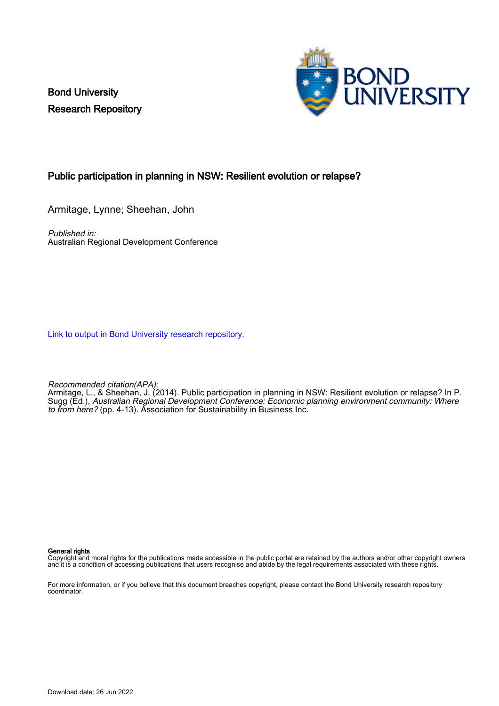Bond University Research Repository



### Public participation in planning in NSW: Resilient evolution or relapse?

Armitage, Lynne; Sheehan, John

Published in: Australian Regional Development Conference

[Link to output in Bond University research repository.](https://research.bond.edu.au/en/publications/6a149384-ea3b-4745-9fb9-c3170b469b7e)

Recommended citation(APA):

Armitage, L., & Sheehan, J. (2014). Public participation in planning in NSW: Resilient evolution or relapse? In P. Sugg (Ed.), Australian Regional Development Conference: Economic planning environment community: Where to from here? (pp. 4-13). Association for Sustainability in Business Inc.

#### General rights

Copyright and moral rights for the publications made accessible in the public portal are retained by the authors and/or other copyright owners and it is a condition of accessing publications that users recognise and abide by the legal requirements associated with these rights.

For more information, or if you believe that this document breaches copyright, please contact the Bond University research repository coordinator.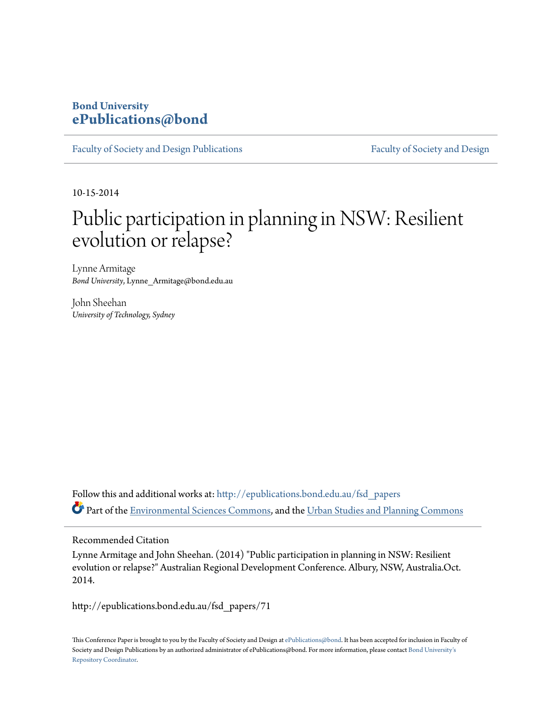## **Bond University [ePublications@bond](http://epublications.bond.edu.au?utm_source=epublications.bond.edu.au%2Ffsd_papers%2F71&utm_medium=PDF&utm_campaign=PDFCoverPages)**

[Faculty of Society and Design Publications](http://epublications.bond.edu.au/fsd_papers?utm_source=epublications.bond.edu.au%2Ffsd_papers%2F71&utm_medium=PDF&utm_campaign=PDFCoverPages) [Faculty of Society and Design](http://epublications.bond.edu.au/fsd?utm_source=epublications.bond.edu.au%2Ffsd_papers%2F71&utm_medium=PDF&utm_campaign=PDFCoverPages)

10-15-2014

# Public participation in planning in NSW: Resilient evolution or relapse?

Lynne Armitage *Bond University*, Lynne\_Armitage@bond.edu.au

John Sheehan *University of Technology, Sydney*

Follow this and additional works at: [http://epublications.bond.edu.au/fsd\\_papers](http://epublications.bond.edu.au/fsd_papers?utm_source=epublications.bond.edu.au%2Ffsd_papers%2F71&utm_medium=PDF&utm_campaign=PDFCoverPages) Part of the [Environmental Sciences Commons,](http://network.bepress.com/hgg/discipline/167?utm_source=epublications.bond.edu.au%2Ffsd_papers%2F71&utm_medium=PDF&utm_campaign=PDFCoverPages) and the [Urban Studies and Planning Commons](http://network.bepress.com/hgg/discipline/436?utm_source=epublications.bond.edu.au%2Ffsd_papers%2F71&utm_medium=PDF&utm_campaign=PDFCoverPages)

#### Recommended Citation

Lynne Armitage and John Sheehan. (2014) "Public participation in planning in NSW: Resilient evolution or relapse?" Australian Regional Development Conference. Albury, NSW, Australia.Oct. 2014.

http://epublications.bond.edu.au/fsd\_papers/71

This Conference Paper is brought to you by the Faculty of Society and Design at [ePublications@bond.](http://epublications.bond.edu.au) It has been accepted for inclusion in Faculty of Society and Design Publications by an authorized administrator of ePublications@bond. For more information, please contact [Bond University's](mailto:acass@bond.edu.au) [Repository Coordinator](mailto:acass@bond.edu.au).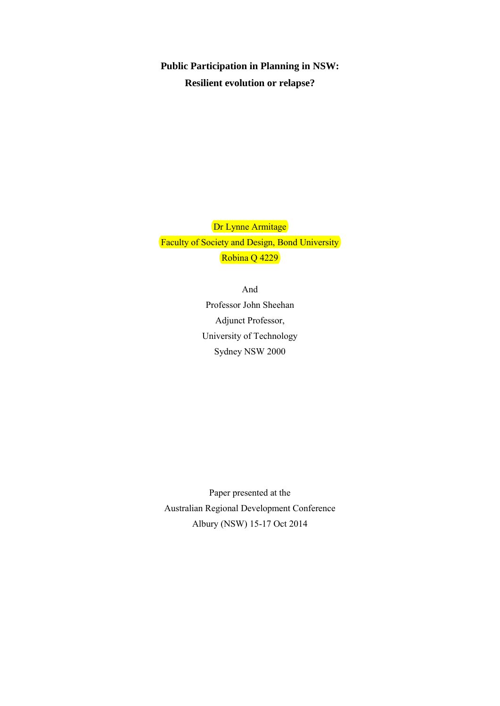**Public Participation in Planning in NSW: Resilient evolution or relapse?** 

Dr Lynne Armitage Faculty of Society and Design, Bond University Robina Q 4229

> And Professor John Sheehan Adjunct Professor, University of Technology Sydney NSW 2000

Paper presented at the Australian Regional Development Conference Albury (NSW) 15-17 Oct 2014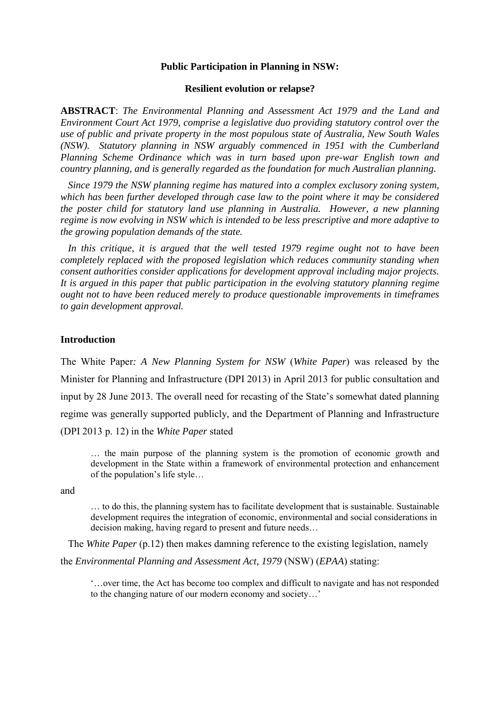#### **Public Participation in Planning in NSW:**

#### **Resilient evolution or relapse?**

**ABSTRACT**: *The Environmental Planning and Assessment Act 1979 and the Land and Environment Court Act 1979, comprise a legislative duo providing statutory control over the use of public and private property in the most populous state of Australia, New South Wales (NSW). Statutory planning in NSW arguably commenced in 1951 with the Cumberland Planning Scheme Ordinance which was in turn based upon pre-war English town and country planning, and is generally regarded as the foundation for much Australian planning.* 

 *Since 1979 the NSW planning regime has matured into a complex exclusory zoning system, which has been further developed through case law to the point where it may be considered the poster child for statutory land use planning in Australia. However, a new planning regime is now evolving in NSW which is intended to be less prescriptive and more adaptive to the growing population demands of the state.* 

 *In this critique, it is argued that the well tested 1979 regime ought not to have been completely replaced with the proposed legislation which reduces community standing when consent authorities consider applications for development approval including major projects. It is argued in this paper that public participation in the evolving statutory planning regime ought not to have been reduced merely to produce questionable improvements in timeframes to gain development approval.* 

#### **Introduction**

The White Paper*: A New Planning System for NSW* (*White Paper*) was released by the Minister for Planning and Infrastructure (DPI 2013) in April 2013 for public consultation and input by 28 June 2013. The overall need for recasting of the State's somewhat dated planning regime was generally supported publicly, and the Department of Planning and Infrastructure (DPI 2013 p. 12) in the *White Paper* stated

… the main purpose of the planning system is the promotion of economic growth and development in the State within a framework of environmental protection and enhancement of the population's life style…

and

… to do this, the planning system has to facilitate development that is sustainable. Sustainable development requires the integration of economic, environmental and social considerations in decision making, having regard to present and future needs…

The *White Paper* (p.12) then makes damning reference to the existing legislation, namely the *Environmental Planning and Assessment Act, 1979* (NSW) (*EPAA*) stating:

'…over time, the Act has become too complex and difficult to navigate and has not responded to the changing nature of our modern economy and society…'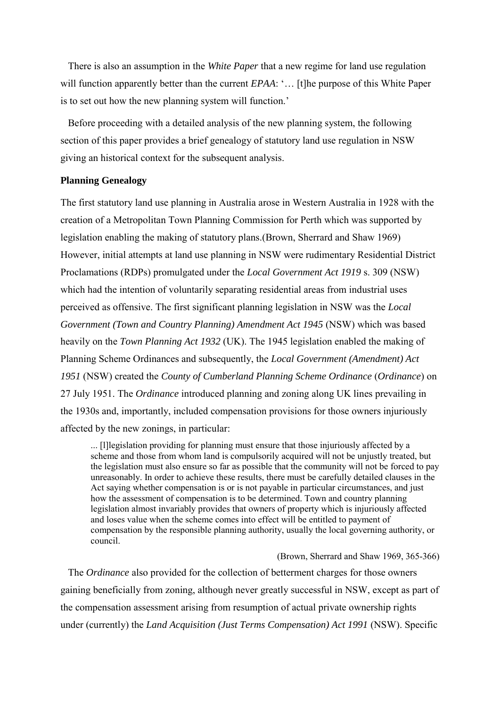There is also an assumption in the *White Paper* that a new regime for land use regulation will function apparently better than the current *EPAA*: '... [t]he purpose of this White Paper is to set out how the new planning system will function.'

 Before proceeding with a detailed analysis of the new planning system, the following section of this paper provides a brief genealogy of statutory land use regulation in NSW giving an historical context for the subsequent analysis.

#### **Planning Genealogy**

The first statutory land use planning in Australia arose in Western Australia in 1928 with the creation of a Metropolitan Town Planning Commission for Perth which was supported by legislation enabling the making of statutory plans.(Brown, Sherrard and Shaw 1969) However, initial attempts at land use planning in NSW were rudimentary Residential District Proclamations (RDPs) promulgated under the *Local Government Act 1919* s. 309 (NSW) which had the intention of voluntarily separating residential areas from industrial uses perceived as offensive. The first significant planning legislation in NSW was the *Local Government (Town and Country Planning) Amendment Act 1945* (NSW) which was based heavily on the *Town Planning Act 1932* (UK). The 1945 legislation enabled the making of Planning Scheme Ordinances and subsequently, the *Local Government (Amendment) Act 1951* (NSW) created the *County of Cumberland Planning Scheme Ordinance* (*Ordinance*) on 27 July 1951. The *Ordinance* introduced planning and zoning along UK lines prevailing in the 1930s and, importantly, included compensation provisions for those owners injuriously affected by the new zonings, in particular:

... [l]legislation providing for planning must ensure that those injuriously affected by a scheme and those from whom land is compulsorily acquired will not be unjustly treated, but the legislation must also ensure so far as possible that the community will not be forced to pay unreasonably. In order to achieve these results, there must be carefully detailed clauses in the Act saying whether compensation is or is not payable in particular circumstances, and just how the assessment of compensation is to be determined. Town and country planning legislation almost invariably provides that owners of property which is injuriously affected and loses value when the scheme comes into effect will be entitled to payment of compensation by the responsible planning authority, usually the local governing authority, or council.

(Brown, Sherrard and Shaw 1969, 365-366)

 The *Ordinance* also provided for the collection of betterment charges for those owners gaining beneficially from zoning, although never greatly successful in NSW, except as part of the compensation assessment arising from resumption of actual private ownership rights under (currently) the *Land Acquisition (Just Terms Compensation) Act 1991* (NSW). Specific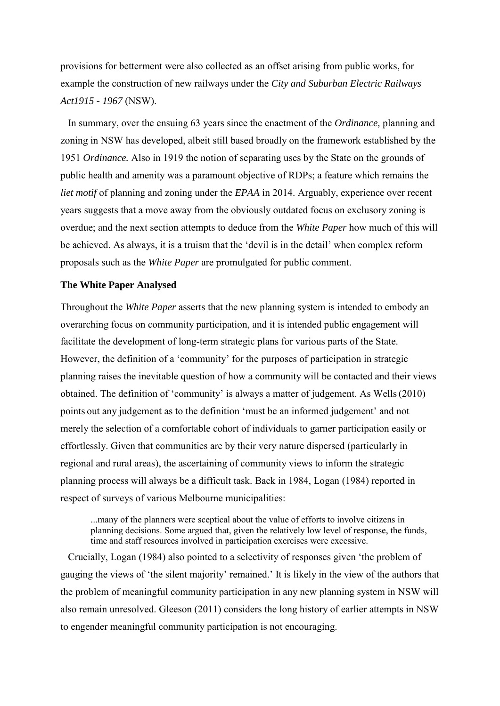provisions for betterment were also collected as an offset arising from public works, for example the construction of new railways under the *City and Suburban Electric Railways Act1915 - 1967* (NSW).

 In summary, over the ensuing 63 years since the enactment of the *Ordinance,* planning and zoning in NSW has developed, albeit still based broadly on the framework established by the 1951 *Ordinance.* Also in 1919 the notion of separating uses by the State on the grounds of public health and amenity was a paramount objective of RDPs; a feature which remains the *liet motif* of planning and zoning under the *EPAA* in 2014. Arguably, experience over recent years suggests that a move away from the obviously outdated focus on exclusory zoning is overdue; and the next section attempts to deduce from the *White Paper* how much of this will be achieved. As always, it is a truism that the 'devil is in the detail' when complex reform proposals such as the *White Paper* are promulgated for public comment.

#### **The White Paper Analysed**

Throughout the *White Paper* asserts that the new planning system is intended to embody an overarching focus on community participation, and it is intended public engagement will facilitate the development of long-term strategic plans for various parts of the State. However, the definition of a 'community' for the purposes of participation in strategic planning raises the inevitable question of how a community will be contacted and their views obtained. The definition of 'community' is always a matter of judgement. As Wells(2010) points out any judgement as to the definition 'must be an informed judgement' and not merely the selection of a comfortable cohort of individuals to garner participation easily or effortlessly. Given that communities are by their very nature dispersed (particularly in regional and rural areas), the ascertaining of community views to inform the strategic planning process will always be a difficult task. Back in 1984, Logan (1984) reported in respect of surveys of various Melbourne municipalities:

...many of the planners were sceptical about the value of efforts to involve citizens in planning decisions. Some argued that, given the relatively low level of response, the funds, time and staff resources involved in participation exercises were excessive.

 Crucially, Logan (1984) also pointed to a selectivity of responses given 'the problem of gauging the views of 'the silent majority' remained.' It is likely in the view of the authors that the problem of meaningful community participation in any new planning system in NSW will also remain unresolved. Gleeson (2011) considers the long history of earlier attempts in NSW to engender meaningful community participation is not encouraging.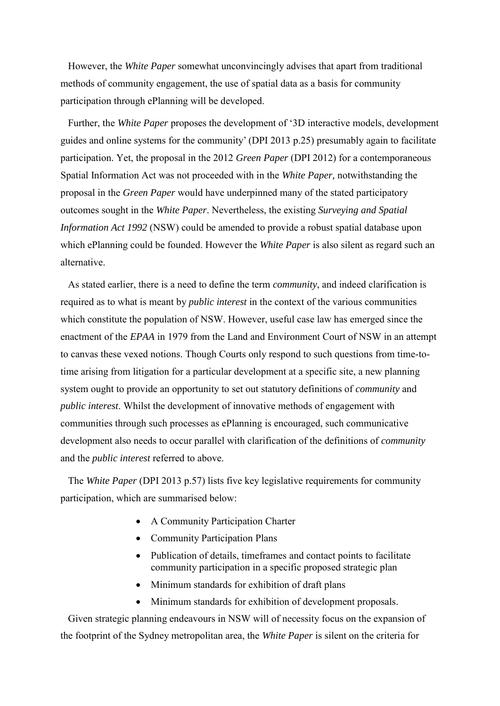However, the *White Paper* somewhat unconvincingly advises that apart from traditional methods of community engagement, the use of spatial data as a basis for community participation through ePlanning will be developed.

 Further, the *White Paper* proposes the development of '3D interactive models, development guides and online systems for the community' (DPI 2013 p.25) presumably again to facilitate participation. Yet, the proposal in the 2012 *Green Paper* (DPI 2012) for a contemporaneous Spatial Information Act was not proceeded with in the *White Paper,* notwithstanding the proposal in the *Green Paper* would have underpinned many of the stated participatory outcomes sought in the *White Paper*. Nevertheless, the existing *Surveying and Spatial Information Act 1992* (NSW) could be amended to provide a robust spatial database upon which ePlanning could be founded. However the *White Paper* is also silent as regard such an alternative.

 As stated earlier, there is a need to define the term *community*, and indeed clarification is required as to what is meant by *public interest* in the context of the various communities which constitute the population of NSW. However, useful case law has emerged since the enactment of the *EPAA* in 1979 from the Land and Environment Court of NSW in an attempt to canvas these vexed notions. Though Courts only respond to such questions from time-totime arising from litigation for a particular development at a specific site, a new planning system ought to provide an opportunity to set out statutory definitions of *community* and *public interest*. Whilst the development of innovative methods of engagement with communities through such processes as ePlanning is encouraged, such communicative development also needs to occur parallel with clarification of the definitions of *community* and the *public interest* referred to above.

 The *White Paper* (DPI 2013 p.57) lists five key legislative requirements for community participation, which are summarised below:

- A Community Participation Charter
- Community Participation Plans
- Publication of details, timeframes and contact points to facilitate community participation in a specific proposed strategic plan
- Minimum standards for exhibition of draft plans
- Minimum standards for exhibition of development proposals.

 Given strategic planning endeavours in NSW will of necessity focus on the expansion of the footprint of the Sydney metropolitan area, the *White Paper* is silent on the criteria for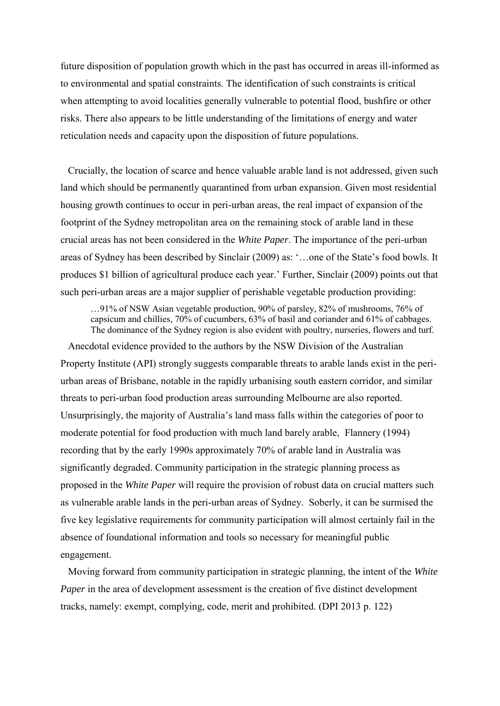future disposition of population growth which in the past has occurred in areas ill-informed as to environmental and spatial constraints. The identification of such constraints is critical when attempting to avoid localities generally vulnerable to potential flood, bushfire or other risks. There also appears to be little understanding of the limitations of energy and water reticulation needs and capacity upon the disposition of future populations.

 Crucially, the location of scarce and hence valuable arable land is not addressed, given such land which should be permanently quarantined from urban expansion. Given most residential housing growth continues to occur in peri-urban areas, the real impact of expansion of the footprint of the Sydney metropolitan area on the remaining stock of arable land in these crucial areas has not been considered in the *White Paper*. The importance of the peri-urban areas of Sydney has been described by Sinclair (2009) as: '…one of the State's food bowls. It produces \$1 billion of agricultural produce each year.' Further, Sinclair (2009) points out that such peri-urban areas are a major supplier of perishable vegetable production providing:

…91% of NSW Asian vegetable production, 90% of parsley, 82% of mushrooms, 76% of capsicum and chillies, 70% of cucumbers, 63% of basil and coriander and 61% of cabbages. The dominance of the Sydney region is also evident with poultry, nurseries, flowers and turf.

 Anecdotal evidence provided to the authors by the NSW Division of the Australian Property Institute (API) strongly suggests comparable threats to arable lands exist in the periurban areas of Brisbane, notable in the rapidly urbanising south eastern corridor, and similar threats to peri-urban food production areas surrounding Melbourne are also reported. Unsurprisingly, the majority of Australia's land mass falls within the categories of poor to moderate potential for food production with much land barely arable, Flannery (1994) recording that by the early 1990s approximately 70% of arable land in Australia was significantly degraded. Community participation in the strategic planning process as proposed in the *White Paper* will require the provision of robust data on crucial matters such as vulnerable arable lands in the peri-urban areas of Sydney. Soberly, it can be surmised the five key legislative requirements for community participation will almost certainly fail in the absence of foundational information and tools so necessary for meaningful public engagement.

 Moving forward from community participation in strategic planning, the intent of the *White Paper* in the area of development assessment is the creation of five distinct development tracks, namely: exempt, complying, code, merit and prohibited. (DPI 2013 p. 122)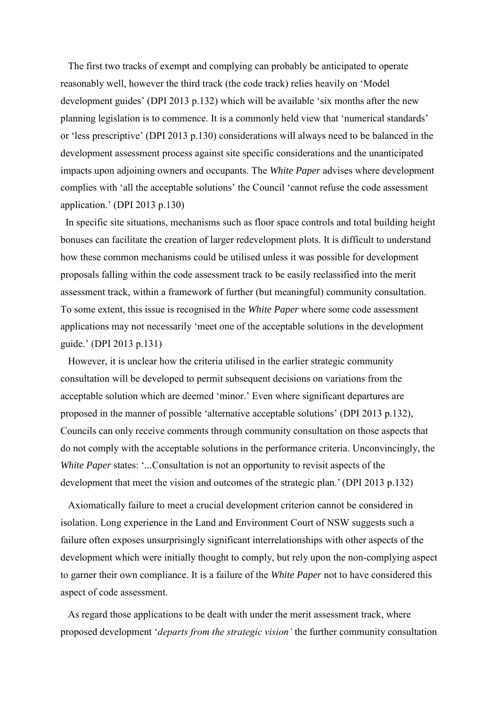The first two tracks of exempt and complying can probably be anticipated to operate reasonably well, however the third track (the code track) relies heavily on 'Model development guides' (DPI 2013 p.132) which will be available 'six months after the new planning legislation is to commence. It is a commonly held view that 'numerical standards' or 'less prescriptive' (DPI 2013 p.130) considerations will always need to be balanced in the development assessment process against site specific considerations and the unanticipated impacts upon adjoining owners and occupants. The *White Paper* advises where development complies with 'all the acceptable solutions' the Council 'cannot refuse the code assessment application.' (DPI 2013 p.130)

 In specific site situations, mechanisms such as floor space controls and total building height bonuses can facilitate the creation of larger redevelopment plots. It is difficult to understand how these common mechanisms could be utilised unless it was possible for development proposals falling within the code assessment track to be easily reclassified into the merit assessment track, within a framework of further (but meaningful) community consultation. To some extent, this issue is recognised in the *White Paper* where some code assessment applications may not necessarily 'meet one of the acceptable solutions in the development guide.' (DPI 2013 p.131)

 However, it is unclear how the criteria utilised in the earlier strategic community consultation will be developed to permit subsequent decisions on variations from the acceptable solution which are deemed 'minor.' Even where significant departures are proposed in the manner of possible 'alternative acceptable solutions' (DPI 2013 p.132), Councils can only receive comments through community consultation on those aspects that do not comply with the acceptable solutions in the performance criteria. Unconvincingly, the *White Paper states: '...Consultation is not an opportunity to revisit aspects of the* development that meet the vision and outcomes of the strategic plan.' (DPI 2013 p.132)

 Axiomatically failure to meet a crucial development criterion cannot be considered in isolation. Long experience in the Land and Environment Court of NSW suggests such a failure often exposes unsurprisingly significant interrelationships with other aspects of the development which were initially thought to comply, but rely upon the non-complying aspect to garner their own compliance. It is a failure of the *White Paper* not to have considered this aspect of code assessment.

 As regard those applications to be dealt with under the merit assessment track, where proposed development '*departs from the strategic vision'* the further community consultation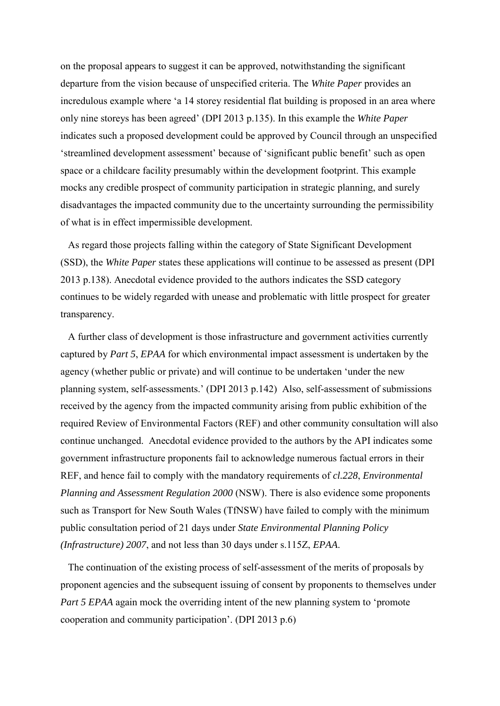on the proposal appears to suggest it can be approved, notwithstanding the significant departure from the vision because of unspecified criteria. The *White Paper* provides an incredulous example where 'a 14 storey residential flat building is proposed in an area where only nine storeys has been agreed' (DPI 2013 p.135). In this example the *White Paper*  indicates such a proposed development could be approved by Council through an unspecified 'streamlined development assessment' because of 'significant public benefit' such as open space or a childcare facility presumably within the development footprint. This example mocks any credible prospect of community participation in strategic planning, and surely disadvantages the impacted community due to the uncertainty surrounding the permissibility of what is in effect impermissible development.

 As regard those projects falling within the category of State Significant Development (SSD), the *White Paper* states these applications will continue to be assessed as present (DPI 2013 p.138). Anecdotal evidence provided to the authors indicates the SSD category continues to be widely regarded with unease and problematic with little prospect for greater transparency.

 A further class of development is those infrastructure and government activities currently captured by *Part 5*, *EPAA* for which environmental impact assessment is undertaken by the agency (whether public or private) and will continue to be undertaken 'under the new planning system, self-assessments.' (DPI 2013 p.142) Also, self-assessment of submissions received by the agency from the impacted community arising from public exhibition of the required Review of Environmental Factors (REF) and other community consultation will also continue unchanged. Anecdotal evidence provided to the authors by the API indicates some government infrastructure proponents fail to acknowledge numerous factual errors in their REF, and hence fail to comply with the mandatory requirements of *cl.228*, *Environmental Planning and Assessment Regulation 2000* (NSW). There is also evidence some proponents such as Transport for New South Wales (TfNSW) have failed to comply with the minimum public consultation period of 21 days under *State Environmental Planning Policy (Infrastructure) 2007*, and not less than 30 days under s.115Z, *EPAA*.

 The continuation of the existing process of self-assessment of the merits of proposals by proponent agencies and the subsequent issuing of consent by proponents to themselves under *Part 5 EPAA* again mock the overriding intent of the new planning system to 'promote cooperation and community participation'. (DPI 2013 p.6)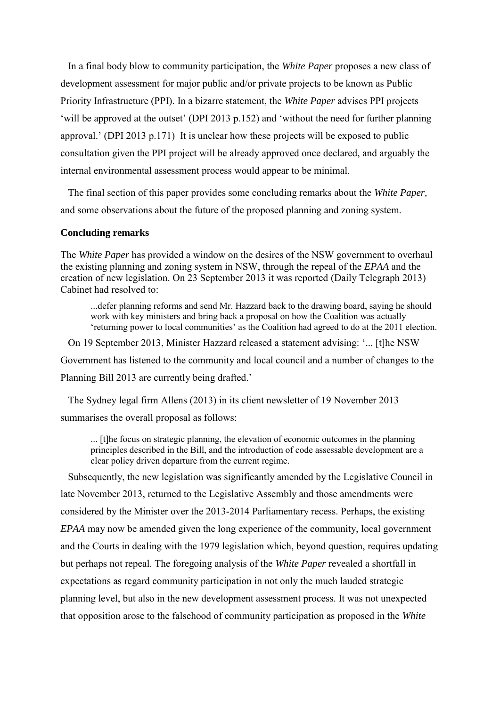In a final body blow to community participation, the *White Paper* proposes a new class of development assessment for major public and/or private projects to be known as Public Priority Infrastructure (PPI). In a bizarre statement, the *White Paper* advises PPI projects 'will be approved at the outset' (DPI 2013 p.152) and 'without the need for further planning approval.' (DPI 2013 p.171) It is unclear how these projects will be exposed to public consultation given the PPI project will be already approved once declared, and arguably the internal environmental assessment process would appear to be minimal.

 The final section of this paper provides some concluding remarks about the *White Paper,*  and some observations about the future of the proposed planning and zoning system.

#### **Concluding remarks**

The *White Paper* has provided a window on the desires of the NSW government to overhaul the existing planning and zoning system in NSW, through the repeal of the *EPAA* and the creation of new legislation. On 23 September 2013 it was reported (Daily Telegraph 2013) Cabinet had resolved to:

...defer planning reforms and send Mr. Hazzard back to the drawing board, saying he should work with key ministers and bring back a proposal on how the Coalition was actually 'returning power to local communities' as the Coalition had agreed to do at the 2011 election.

 On 19 September 2013, Minister Hazzard released a statement advising: '... [t]he NSW Government has listened to the community and local council and a number of changes to the Planning Bill 2013 are currently being drafted.'

 The Sydney legal firm Allens (2013) in its client newsletter of 19 November 2013 summarises the overall proposal as follows:

... [t]he focus on strategic planning, the elevation of economic outcomes in the planning principles described in the Bill, and the introduction of code assessable development are a clear policy driven departure from the current regime.

 Subsequently, the new legislation was significantly amended by the Legislative Council in late November 2013, returned to the Legislative Assembly and those amendments were considered by the Minister over the 2013-2014 Parliamentary recess. Perhaps, the existing *EPAA* may now be amended given the long experience of the community, local government and the Courts in dealing with the 1979 legislation which, beyond question, requires updating but perhaps not repeal. The foregoing analysis of the *White Paper* revealed a shortfall in expectations as regard community participation in not only the much lauded strategic planning level, but also in the new development assessment process. It was not unexpected that opposition arose to the falsehood of community participation as proposed in the *White*